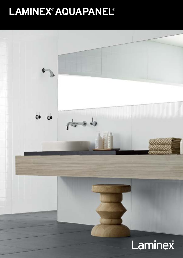# **LAMINEX**® **AQUAPANEL**®

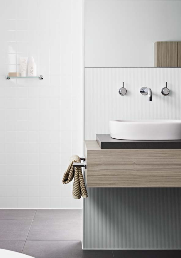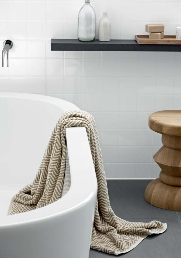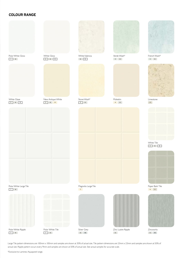#### **COLOUR RANGE**



French Wash<sup>#</sup> 3 6



Limestone 5





Paper Bark Tile 4 5



Zincworks 6 10

Large Tile pattern dimensions are 100mm x 100mm and samples are shown at 30% of actual size. Tile pattern dimensions are 23mm x 23mm and samples are shown at 50% of actual size. Ripple pattern occurs every 9mm and samples are shown at 50% of actual size. See actual samples for accurate scale.

6 10

6

#Exclusive to Laminex Aquapanel range.

1 6

1 6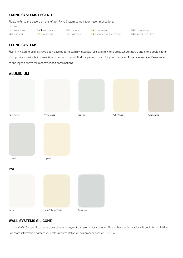#### **FIXING SYSTEMS LEGEND**

Please refer to the decors on the left for Fixing System combination recommendations.

LEGEND

<sup>1</sup> POLAR WHITE <sup>2</sup> WHITE GLAZE <sup>3</sup> ICE MIST <sup>4</sup> OFF WHITE 5 CHAMPAGNE

6 NATURAL **7** MAGNOLIA 8 WHITE PVC 9 NEW ANTIQUE WHITE PVC 10 SILVER GREY PVC

#### **FIXING SYSTEMS**

Five fixing system profiles have been developed to stylishly integrate joins and minimise areas where mould and grime could gather. Each profile is available in a selection of colours so you'll find the perfect match for your choice of Aquapanel surface. Please refer to the legend above for recommended combinations.

#### **ALUMINIUM**



#### **WALL SYSTEMS SILICONE**

Laminex Wall System Silicones are available in a range of complementary colours. Please check with your local branch for availability. For more information contact your sales representative or customer service on 132 136.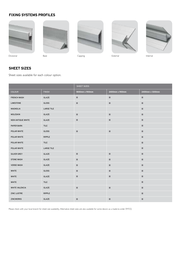#### **FIXING SYSTEMS PROFILES**











### **SHEET SIZES**

Sheet sizes available for each colour option.

|                          |                   | <b>SHEET SIZES</b> |                |                 |
|--------------------------|-------------------|--------------------|----------------|-----------------|
| COLOUR                   | <b>FINISH</b>     | 1800mm x 900mm     | 2400mm x 900mm | 2400mm x 1200mm |
| <b>FRENCH WASH</b>       | GLAZE             | ш                  | ш              | ш               |
| <b>LIMESTONE</b>         | GLOSS             | ш                  | ш              | ш               |
| <b>MAGNOLIA</b>          | <b>LARGE TILE</b> |                    |                | ш               |
| <b>MOLESKIN</b>          | GLAZE             | ш                  | ш              | ш               |
| <b>NEW ANTIQUE WHITE</b> | GLAZE             | ٠                  | ٠              | ш               |
| PAPER BARK               | <b>TILE</b>       |                    |                | ш               |
| POLAR WHITE              | GLOSS             | ш                  | ш              | ш               |
| POLAR WHITE              | <b>RIPPLE</b>     |                    |                | ш               |
| POLAR WHITE              | <b>TILE</b>       |                    |                | ш               |
| POLAR WHITE              | <b>LARGE TILE</b> |                    |                | ш               |
| SILVER GREY              | GLAZE             | ٠                  | ш              | ш               |
| <b>STONE WASH</b>        | GLAZE             | ш                  | ш              | ш               |
| <b>VERDE WASH</b>        | GLAZE             | ш                  | ш              | ш               |
| <b>WHITE</b>             | GLOSS             | ٠                  | ш              | ш               |
| <b>WHITE</b>             | GLAZE             | ш                  | ш              | ш               |
| <b>WHITE</b>             | <b>TILE</b>       |                    |                | ш               |
| <b>WHITE VALENCIA</b>    | GLAZE             | ш                  | ш              | ш               |
| <b>ZINC LUSTRE</b>       | RIPPLE            |                    |                | ш               |
| <b>ZINCWORKS</b>         | GLAZE             | ٠                  | ш              | ■               |

Please check with your local branch for sheet size availability. Alternative sheet sizes are also available for some decors as a made-to-order (MTO).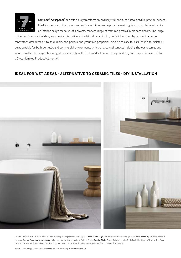

Laminex<sup>®</sup> Aquapanel<sup>®</sup> can effortlessly transform an ordinary wall and turn it into a stylish, practical surface. Ideal for wet areas, this robust wall surface solution can help create anything from a simple backdrop to an interior design made up of a diverse, modern range of textured profiles in modern decors. The range

of tiled surfaces are the ideal, economical alternative to traditional ceramic tiling. In fact, Laminex Aquapanel is a home renovator's dream thanks to its durable, non-porous, and grout free properties. And it's as easy to install as it is to maintain, being suitable for both domestic and commercial environments with wet area wall surfaces including shower recesses and laundry walls. The range also integrates seamlessly with the broader Laminex range and as you'd expect is covered by a 7 year Limited Product Warranty.\*.

#### **IDEAL FOR WET AREAS · ALTERNATIVE TO CERAMIC TILES · DIY INSTALLATION**



COVER, ABOVE AND INSIDE Back wall and shower panelling in Laminex Aquapanel Polar White Large Tile. Basin wall in Laminex Aquapanel Polar White Ripple. Basin bench in Laminex Colour Palette Avignon Walnut and raised basin setting in Laminex Colour Palette Evening Shale. Zuster 'Sabrina' stools. Cool Galah 'Herringbone' Towels. Kris Coad ceramic bottles from Potier. Mitzu Drift Bath, Mitzu shower channel, Ideal Standard vessel basin and Scala tap wear from Reece.

\* Please obtain a copy of the Laminex Limited Product Warranty from laminex.com.au.